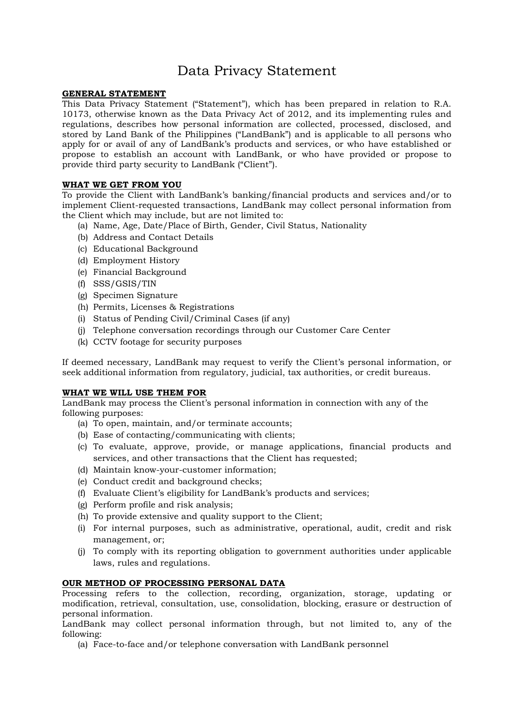# Data Privacy Statement

# **GENERAL STATEMENT**

This Data Privacy Statement ("Statement"), which has been prepared in relation to R.A. 10173, otherwise known as the Data Privacy Act of 2012, and its implementing rules and regulations, describes how personal information are collected, processed, disclosed, and stored by Land Bank of the Philippines ("LandBank") and is applicable to all persons who apply for or avail of any of LandBank's products and services, or who have established or propose to establish an account with LandBank, or who have provided or propose to provide third party security to LandBank ("Client").

# **WHAT WE GET FROM YOU**

To provide the Client with LandBank's banking/financial products and services and/or to implement Client-requested transactions, LandBank may collect personal information from the Client which may include, but are not limited to:

- (a) Name, Age, Date/Place of Birth, Gender, Civil Status, Nationality
- (b) Address and Contact Details
- (c) Educational Background
- (d) Employment History
- (e) Financial Background
- (f) SSS/GSIS/TIN
- (g) Specimen Signature
- (h) Permits, Licenses & Registrations
- (i) Status of Pending Civil/Criminal Cases (if any)
- (j) Telephone conversation recordings through our Customer Care Center
- (k) CCTV footage for security purposes

If deemed necessary, LandBank may request to verify the Client's personal information, or seek additional information from regulatory, judicial, tax authorities, or credit bureaus.

# **WHAT WE WILL USE THEM FOR**

LandBank may process the Client's personal information in connection with any of the following purposes:

- (a) To open, maintain, and/or terminate accounts;
- (b) Ease of contacting/communicating with clients;
- (c) To evaluate, approve, provide, or manage applications, financial products and services, and other transactions that the Client has requested;
- (d) Maintain know-your-customer information;
- (e) Conduct credit and background checks;
- (f) Evaluate Client's eligibility for LandBank's products and services;
- (g) Perform profile and risk analysis;
- (h) To provide extensive and quality support to the Client;
- (i) For internal purposes, such as administrative, operational, audit, credit and risk management, or;
- (j) To comply with its reporting obligation to government authorities under applicable laws, rules and regulations.

# **OUR METHOD OF PROCESSING PERSONAL DATA**

Processing refers to the collection, recording, organization, storage, updating or modification, retrieval, consultation, use, consolidation, blocking, erasure or destruction of personal information.

LandBank may collect personal information through, but not limited to, any of the following:

(a) Face-to-face and/or telephone conversation with LandBank personnel